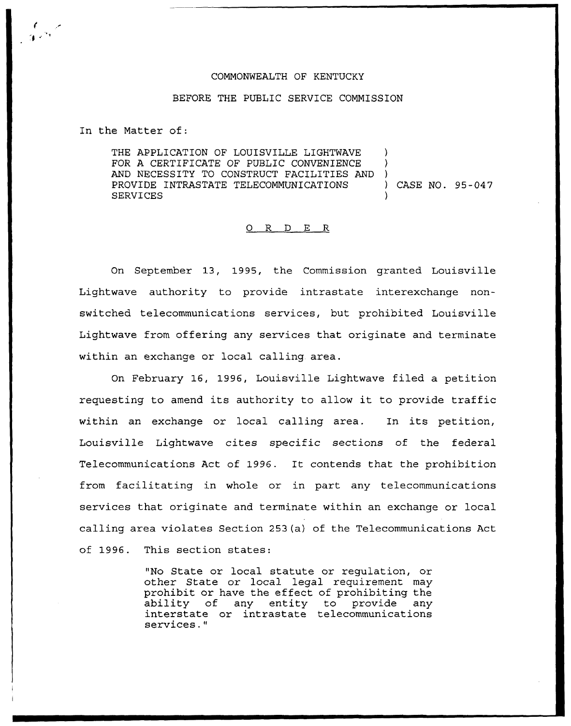## COMMONWEALTH OF KENTUCKY

## BEFORE THE PUBLIC SERVICE COMMISSION

In the Matter of:

THE APPLICATION OF LOUISVILLE LIGHTWAVE FOR A CERTIFICATE OF PUBLIC CONVENIENCE AND NECESSITY TO CONSTRUCT FACILITIES AND )<br>PROVIDE INTRASTATE TELECOMMUNICATIONS ) CASE NO. 95-047 PROVIDE INTRASTATE TELECOMMUNICATIONS **SERVICES** 

## 0 R <sup>D</sup> E R

On September 13, 1995, the Commission granted Louisville Lightwave authority to provide intrastate interexchange nonswitched telecommunications services, but prohibited Louisville Lightwave from offering any services that originate and terminate within an exchange or local calling area.

On February 16, 1996, Louisville Lightwave filed a petition requesting to amend its authority to allow it to provide traffic within an exchange or local calling area. In its petition, Louisville Lightwave cites specific sections of the federal Telecommunications Act of 1996. It contends that the prohibition from facilitating in whole or in part any telecommunications services that originate and terminate within an exchange or local calling area violates Section 253(a) of the Telecommunications Act of 1996. This section states:

> "No State or local statute or regulation, or other State or local legal requirement may prohibit or have the effect of prohibiting the ability of any entity to provide any interstate or intrastate telecommunications services."